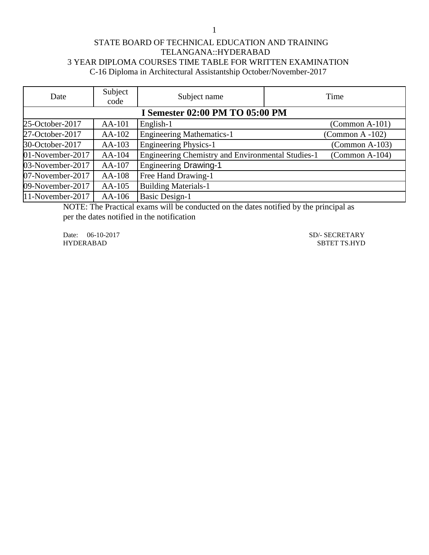1

## STATE BOARD OF TECHNICAL EDUCATION AND TRAINING TELANGANA::HYDERABAD 3 YEAR DIPLOMA COURSES TIME TABLE FOR WRITTEN EXAMINATION C-16 Diploma in Architectural Assistantship October/November-2017

| Date                                   | Subject<br>code | Subject name                                      | Time                    |  |
|----------------------------------------|-----------------|---------------------------------------------------|-------------------------|--|
| <b>I Semester 02:00 PM TO 05:00 PM</b> |                 |                                                   |                         |  |
| 25-October-2017                        | AA-101          | English-1                                         | $(Common A-101)$        |  |
| 27-October-2017                        | AA-102          | <b>Engineering Mathematics-1</b>                  | (Common A -102)         |  |
| 30-October-2017                        | $AA-103$        | <b>Engineering Physics-1</b>                      | $(Common A-103)$        |  |
| 01-November-2017                       | AA-104          | Engineering Chemistry and Environmental Studies-1 | $\Gamma$ (Common A-104) |  |
| 03-November-2017                       | AA-107          | <b>Engineering Drawing-1</b>                      |                         |  |
| 07-November-2017                       | AA-108          | Free Hand Drawing-1                               |                         |  |
| 09-November-2017                       | $AA-105$        | <b>Building Materials-1</b>                       |                         |  |
| 11-November-2017                       | AA-106          | <b>Basic Design-1</b>                             |                         |  |

NOTE: The Practical exams will be conducted on the dates notified by the principal as per the dates notified in the notification

Date: 06-10-2017 SD/- SECRETARY SD<br>HYDERABAD SBTET TS.HYD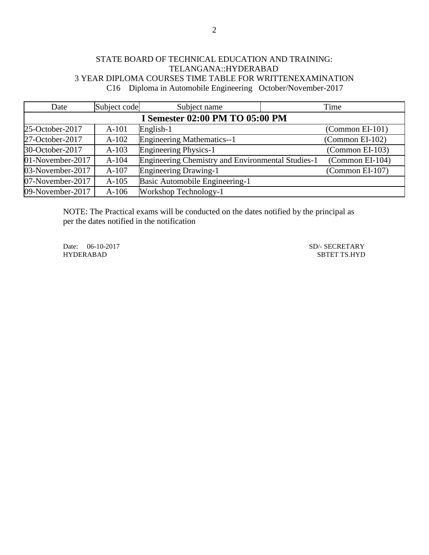## STATE BOARD OF TECHNICAL EDUCATION AND TRAINING: TELANGANA::HYDERABAD 3 YEAR DIPLOMA COURSES TIME TABLE FOR WRITTENEXAMINATION C16 Diploma in Automobile Engineering October/November-2017

| Date             | Subject code                    | Subject name                                             | Time              |  |  |  |
|------------------|---------------------------------|----------------------------------------------------------|-------------------|--|--|--|
|                  | I Semester 02:00 PM TO 05:00 PM |                                                          |                   |  |  |  |
| 25-October-2017  | $A-101$                         | English-1                                                | $(Common EI-101)$ |  |  |  |
| 27-October-2017  | $A-102$                         | <b>Engineering Mathematics--1</b>                        | $(Common EI-102)$ |  |  |  |
| 30-October-2017  | $A-103$                         | <b>Engineering Physics-1</b>                             | (Common EI-103)   |  |  |  |
| 01-November-2017 | $A-104$                         | <b>Engineering Chemistry and Environmental Studies-1</b> | (Common EI-104)   |  |  |  |
| 03-November-2017 | $A-107$                         | <b>Engineering Drawing-1</b>                             | $(Common El-107)$ |  |  |  |
| 07-November-2017 | $A-105$                         | Basic Automobile Engineering-1                           |                   |  |  |  |
| 09-November-2017 | $A-106$                         | Workshop Technology-1                                    |                   |  |  |  |

NOTE: The Practical exams will be conducted on the dates notified by the principal as per the dates notified in the notification

Date: 06-10-2017 SD/- SECRETARY SD<br>HYDERABAD SBTET TS.HYD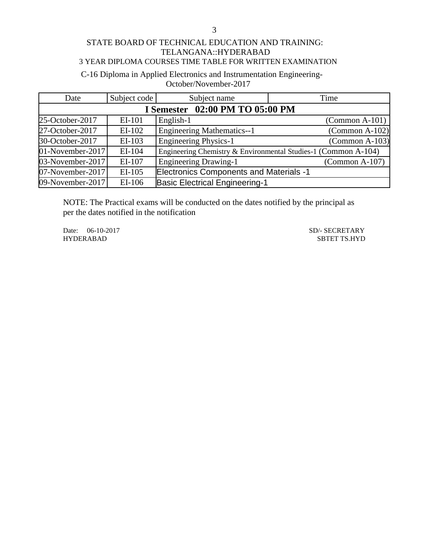## C-16 Diploma in Applied Electronics and Instrumentation Engineering-October/November-2017

| Date             | Subject code                    | Subject name                                   | Time                                                           |  |  |
|------------------|---------------------------------|------------------------------------------------|----------------------------------------------------------------|--|--|
|                  | I Semester 02:00 PM TO 05:00 PM |                                                |                                                                |  |  |
| 25-October-2017  | EI-101                          | English-1                                      | $\Gamma$ (Common A-101)                                        |  |  |
| 27-October-2017  | $EI-102$                        | <b>Engineering Mathematics--1</b>              | $(Common A-102)$                                               |  |  |
| 30-October-2017  | EI-103                          | <b>Engineering Physics-1</b>                   | $(Common A-103)$                                               |  |  |
| 01-November-2017 | EI-104                          |                                                | Engineering Chemistry & Environmental Studies-1 (Common A-104) |  |  |
| 03-November-2017 | EI-107                          | <b>Engineering Drawing-1</b>                   | $\Gamma$ (Common A-107)                                        |  |  |
| 07-November-2017 | EI-105                          | <b>Electronics Components and Materials -1</b> |                                                                |  |  |
| 09-November-2017 | EI-106                          | <b>Basic Electrical Engineering-1</b>          |                                                                |  |  |

NOTE: The Practical exams will be conducted on the dates notified by the principal as per the dates notified in the notification

Date: 06-10-2017 SD/- SECRETARY<br>HYDERABAD SBTET TS.HYD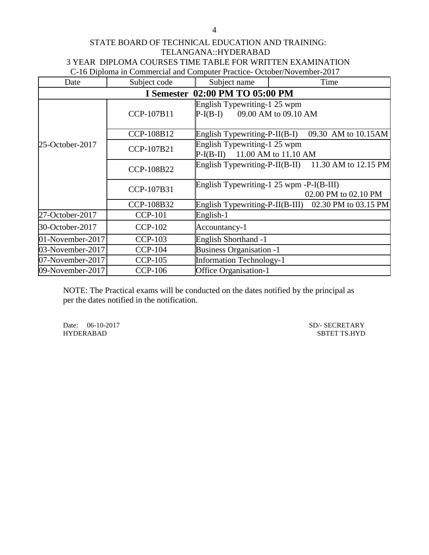### STATE BOARD OF TECHNICAL EDUCATION AND TRAINING: TELANGANA::HYDERABAD 3 YEAR DIPLOMA COURSES TIME TABLE FOR WRITTEN EXAMINATION C-16 Diploma in Commercial and Computer Practice- October/November-2017

| Date             | Subject code                           | Subject name                                                        | Time                                                   |  |  |  |
|------------------|----------------------------------------|---------------------------------------------------------------------|--------------------------------------------------------|--|--|--|
|                  | <b>I Semester 02:00 PM TO 05:00 PM</b> |                                                                     |                                                        |  |  |  |
|                  | CCP-107B11                             | English Typewriting-1 25 wpm<br>$P-I(B-I)$ 09.00 AM to 09.10 AM     |                                                        |  |  |  |
|                  | CCP-108B12                             |                                                                     | English Typewriting-P-II(B-I) 09.30 AM to 10.15AM      |  |  |  |
| 25-October-2017  | CCP-107B21                             | English Typewriting-1 25 wpm<br>11.00 AM to 11.10 AM<br>$P-I(B-II)$ |                                                        |  |  |  |
|                  | CCP-108B22                             |                                                                     | English Typewriting-P-II(B-II) 11.30 AM to 12.15 PM    |  |  |  |
|                  | CCP-107B31                             | English Typewriting-1 25 wpm -P-I(B-III)<br>02.00 PM to 02.10 PM    |                                                        |  |  |  |
|                  | CCP-108B32                             |                                                                     | English Typewriting-P-II(B-III) $02.30$ PM to 03.15 PM |  |  |  |
| 27-October-2017  | <b>CCP-101</b>                         | English-1                                                           |                                                        |  |  |  |
| 30-October-2017  | <b>CCP-102</b>                         | Accountancy-1                                                       |                                                        |  |  |  |
| 01-November-2017 | <b>CCP-103</b>                         | <b>English Shorthand -1</b>                                         |                                                        |  |  |  |
| 03-November-2017 | <b>CCP-104</b>                         | <b>Business Organisation -1</b>                                     |                                                        |  |  |  |
| 07-November-2017 | <b>CCP-105</b>                         | <b>Information Technology-1</b>                                     |                                                        |  |  |  |
| 09-November-2017 | <b>CCP-106</b>                         | <b>Office Organisation-1</b>                                        |                                                        |  |  |  |

NOTE: The Practical exams will be conducted on the dates notified by the principal as per the dates notified in the notification.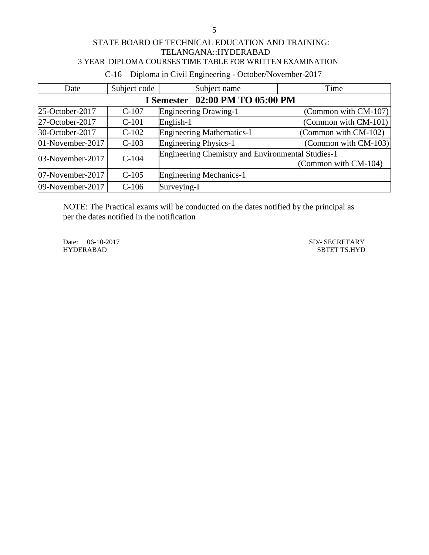C-16 Diploma in Civil Engineering - October/November-2017

| Date             | Subject code                    | Subject name                                      | Time                 |  |  |  |
|------------------|---------------------------------|---------------------------------------------------|----------------------|--|--|--|
|                  | I Semester 02:00 PM TO 05:00 PM |                                                   |                      |  |  |  |
| 25-October-2017  | $C-107$                         | <b>Engineering Drawing-1</b>                      | (Common with CM-107) |  |  |  |
| 27-October-2017  | $C-101$                         | English-1                                         | (Common with CM-101) |  |  |  |
| 30-October-2017  | $C-102$                         | <b>Engineering Mathematics-I</b>                  | (Common with CM-102) |  |  |  |
| 01-November-2017 | $C-103$                         | <b>Engineering Physics-1</b>                      | (Common with CM-103) |  |  |  |
| 03-November-2017 | $C-104$                         | Engineering Chemistry and Environmental Studies-1 | (Common with CM-104) |  |  |  |
| 07-November-2017 | $C-105$                         | <b>Engineering Mechanics-1</b>                    |                      |  |  |  |
| 09-November-2017 | $C-106$                         | Surveying-I                                       |                      |  |  |  |

NOTE: The Practical exams will be conducted on the dates notified by the principal as per the dates notified in the notification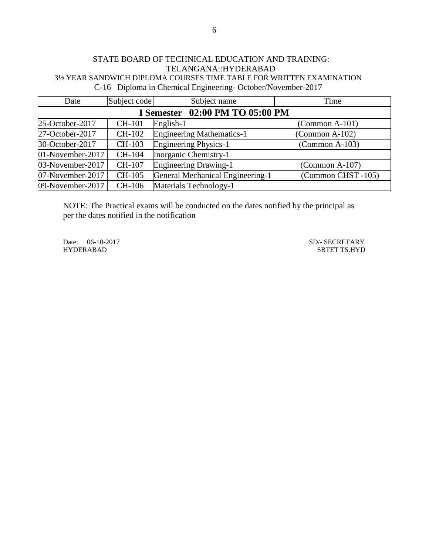## STATE BOARD OF TECHNICAL EDUCATION AND TRAINING: TELANGANA::HYDERABAD 3½ YEAR SANDWICH DIPLOMA COURSES TIME TABLE FOR WRITTEN EXAMINATION C-16 Diploma in Chemical Engineering- October/November-2017

| Date             | Subject code                       | Subject name                     | Time                    |  |  |
|------------------|------------------------------------|----------------------------------|-------------------------|--|--|
|                  | 02:00 PM TO 05:00 PM<br>I Semester |                                  |                         |  |  |
| 25-October-2017  | <b>CH-101</b>                      | English-1                        | $(Common A-101)$        |  |  |
| 27-October-2017  | CH-102                             | <b>Engineering Mathematics-1</b> | $\Gamma$ (Common A-102) |  |  |
| 30-October-2017  | CH-103                             | <b>Engineering Physics-1</b>     | $(Common A-103)$        |  |  |
| 01-November-2017 | CH-104                             | Inorganic Chemistry-1            |                         |  |  |
| 03-November-2017 | CH-107                             | <b>Engineering Drawing-1</b>     | $\Gamma$ (Common A-107) |  |  |
| 07-November-2017 | CH-105                             | General Mechanical Engineering-1 | (Common CHST-105)       |  |  |
| 09-November-2017 | CH-106                             | Materials Technology-1           |                         |  |  |

NOTE: The Practical exams will be conducted on the dates notified by the principal as per the dates notified in the notification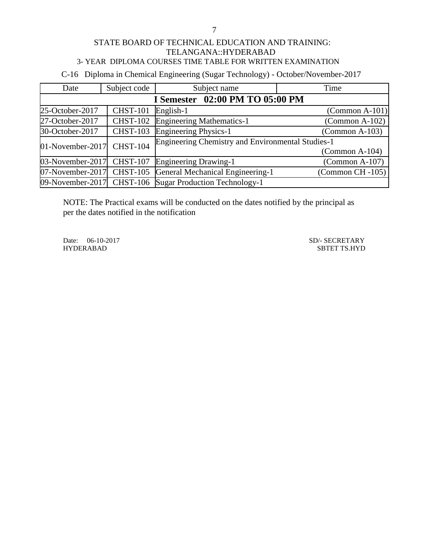C-16 Diploma in Chemical Engineering (Sugar Technology) - October/November-2017

| Date                      | Subject code    | Subject name                                            | Time                    |
|---------------------------|-----------------|---------------------------------------------------------|-------------------------|
|                           |                 | I Semester 02:00 PM TO 05:00 PM                         |                         |
| 25-October-2017           | <b>CHST-101</b> | English-1                                               | $\Gamma$ (Common A-101) |
| 27-October-2017           | <b>CHST-102</b> | <b>Engineering Mathematics-1</b>                        | $\Gamma$ (Common A-102) |
| 30-October-2017           | <b>CHST-103</b> | <b>Engineering Physics-1</b>                            | $\Gamma$ (Common A-103) |
| 01-November-2017          | <b>CHST-104</b> | Engineering Chemistry and Environmental Studies-1       |                         |
|                           |                 |                                                         | $\Gamma$ (Common A-104) |
| 03-November-2017 CHST-107 |                 | <b>Engineering Drawing-1</b>                            | $(Common A-107)$        |
| 07-November-2017 CHST-105 |                 | General Mechanical Engineering-1                        | (Common CH-105)         |
|                           |                 | 09-November-2017 CHST-106 Sugar Production Technology-1 |                         |

NOTE: The Practical exams will be conducted on the dates notified by the principal as per the dates notified in the notification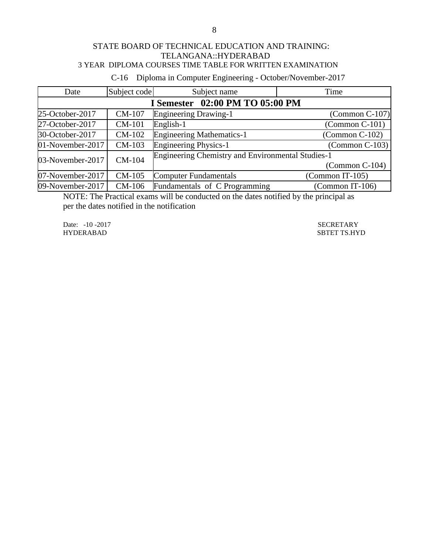C-16 Diploma in Computer Engineering - October/November-2017

| Date                            | Subject code  | Subject name                                             | Time                    |  |  |
|---------------------------------|---------------|----------------------------------------------------------|-------------------------|--|--|
| I Semester 02:00 PM TO 05:00 PM |               |                                                          |                         |  |  |
| 25-October-2017                 | CM-107        | <b>Engineering Drawing-1</b>                             | $\Gamma$ (Common C-107) |  |  |
| 27-October-2017                 | <b>CM-101</b> | English-1                                                | $\Gamma$ (Common C-101) |  |  |
| 30-October-2017                 | CM-102        | <b>Engineering Mathematics-1</b>                         | $\Gamma$ (Common C-102) |  |  |
| 01-November-2017                | CM-103        | <b>Engineering Physics-1</b>                             | $\Gamma$ (Common C-103) |  |  |
| 03-November-2017                | CM-104        | <b>Engineering Chemistry and Environmental Studies-1</b> |                         |  |  |
|                                 |               |                                                          | $\Gamma$ (Common C-104) |  |  |
| 07-November-2017                | CM-105        | <b>Computer Fundamentals</b>                             | (Common IT-105)         |  |  |
| 09-November-2017                | CM-106        | Fundamentals of C Programming                            | (Common IT-106)         |  |  |

NOTE: The Practical exams will be conducted on the dates notified by the principal as per the dates notified in the notification

Date: -10 -2017<br>
HYDERABAD SECRETARY<br>
SBTET TS.HY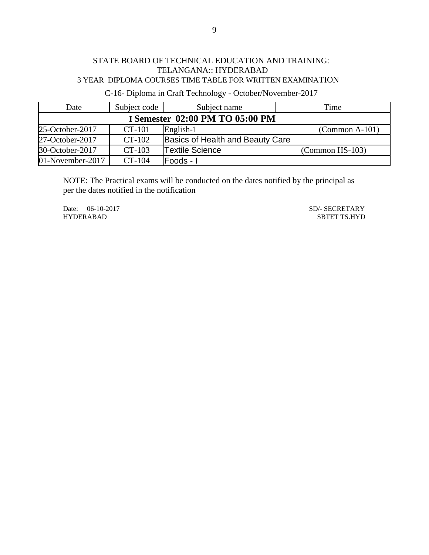C-16- Diploma in Craft Technology - October/November-2017

| Date                            | Subject code | Subject name                     | Time              |  |  |
|---------------------------------|--------------|----------------------------------|-------------------|--|--|
| I Semester 02:00 PM TO 05:00 PM |              |                                  |                   |  |  |
| 25-October-2017                 | CT-101       | English-1                        | $(Common A-101)$  |  |  |
| 27-October-2017                 | CT-102       | Basics of Health and Beauty Care |                   |  |  |
| 30-October-2017                 | $CT-103$     | <b>Textile Science</b>           | $(Common HS-103)$ |  |  |
| $01$ -November-2017             | CT-104       | Foods - I                        |                   |  |  |

NOTE: The Practical exams will be conducted on the dates notified by the principal as per the dates notified in the notification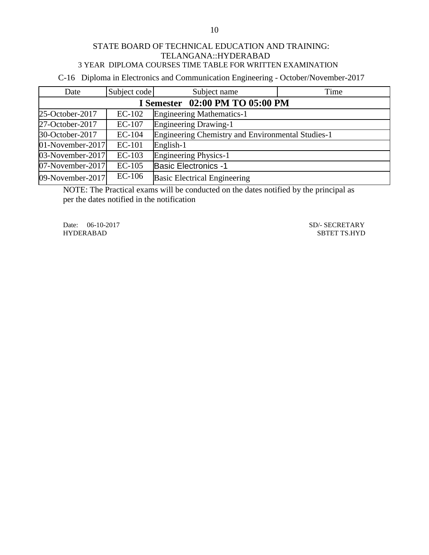C-16 Diploma in Electronics and Communication Engineering - October/November-2017

| Date             | Subject code                    | Subject name                                      | Time |  |  |
|------------------|---------------------------------|---------------------------------------------------|------|--|--|
|                  | I Semester 02:00 PM TO 05:00 PM |                                                   |      |  |  |
| 25-October-2017  | $EC-102$                        | <b>Engineering Mathematics-1</b>                  |      |  |  |
| 27-October-2017  | $EC-107$                        | <b>Engineering Drawing-1</b>                      |      |  |  |
| 30-October-2017  | $EC-104$                        | Engineering Chemistry and Environmental Studies-1 |      |  |  |
| 01-November-2017 | <b>EC-101</b>                   | English-1                                         |      |  |  |
| 03-November-2017 | $EC-103$                        | Engineering Physics-1                             |      |  |  |
| 07-November-2017 | $EC-105$                        | <b>Basic Electronics -1</b>                       |      |  |  |
| 09-November-2017 | $EC-106$                        | <b>Basic Electrical Engineering</b>               |      |  |  |

NOTE: The Practical exams will be conducted on the dates notified by the principal as per the dates notified in the notification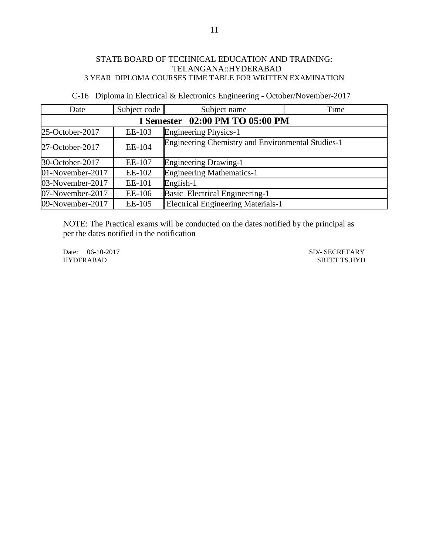| Date             | Subject code | Subject name                                             | Time |
|------------------|--------------|----------------------------------------------------------|------|
|                  |              | I Semester 02:00 PM TO 05:00 PM                          |      |
| 25-October-2017  | EE-103       | <b>Engineering Physics-1</b>                             |      |
| 27-October-2017  | EE-104       | <b>Engineering Chemistry and Environmental Studies-1</b> |      |
| 30-October-2017  | EE-107       | <b>Engineering Drawing-1</b>                             |      |
| 01-November-2017 | EE-102       | <b>Engineering Mathematics-1</b>                         |      |
| 03-November-2017 | EE-101       | English-1                                                |      |
| 07-November-2017 | EE-106       | Basic Electrical Engineering-1                           |      |
| 09-November-2017 | EE-105       | <b>Electrical Engineering Materials-1</b>                |      |

C-16 Diploma in Electrical & Electronics Engineering - October/November-2017

NOTE: The Practical exams will be conducted on the dates notified by the principal as per the dates notified in the notification

Date: 06-10-2017 SD/- SECRETARY<br>HYDERABAD SBTET TS.HYD SBTET TS.HYD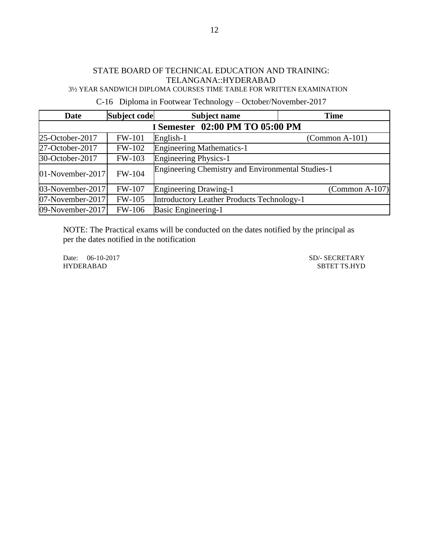## STATE BOARD OF TECHNICAL EDUCATION AND TRAINING: TELANGANA::HYDERABAD

3½ YEAR SANDWICH DIPLOMA COURSES TIME TABLE FOR WRITTEN EXAMINATION

C-16 Diploma in Footwear Technology – October/November-2017

| <b>Date</b>                     | Subject code  | <b>Subject name</b>                                      | <b>Time</b>             |  |
|---------------------------------|---------------|----------------------------------------------------------|-------------------------|--|
| I Semester 02:00 PM TO 05:00 PM |               |                                                          |                         |  |
| 25-October-2017                 | <b>FW-101</b> | English-1                                                | $\Gamma$ (Common A-101) |  |
| 27-October-2017                 | <b>FW-102</b> | <b>Engineering Mathematics-1</b>                         |                         |  |
| 30-October-2017                 | FW-103        | <b>Engineering Physics-1</b>                             |                         |  |
| 01-November-2017                | <b>FW-104</b> | <b>Engineering Chemistry and Environmental Studies-1</b> |                         |  |
| 03-November-2017                | <b>FW-107</b> | <b>Engineering Drawing-1</b>                             | $\Gamma$ (Common A-107) |  |
| 07-November-2017                | FW-105        | <b>Introductory Leather Products Technology-1</b>        |                         |  |
| 09-November-2017                | <b>FW-106</b> | <b>Basic Engineering-1</b>                               |                         |  |

NOTE: The Practical exams will be conducted on the dates notified by the principal as per the dates notified in the notification

HYDERABAD SBTET TS.HYD

Date: 06-10-2017 SD/- SECRETARY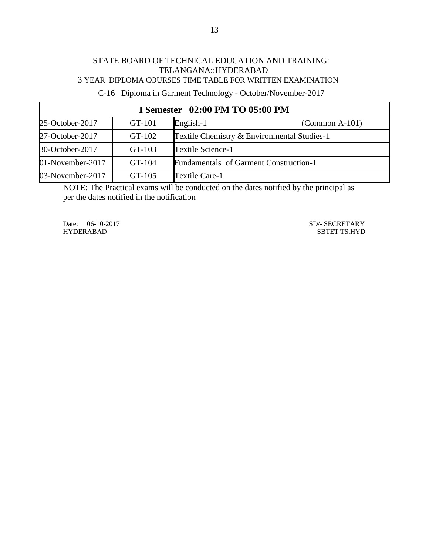# STATE BOARD OF TECHNICAL EDUCATION AND TRAINING: TELANGANA::HYDERABAD

3 YEAR DIPLOMA COURSES TIME TABLE FOR WRITTEN EXAMINATION

C-16 Diploma in Garment Technology - October/November-2017

| I Semester 02:00 PM TO 05:00 PM |        |                                             |                  |  |
|---------------------------------|--------|---------------------------------------------|------------------|--|
| 25-October-2017                 | GT-101 | English-1                                   | $(Common A-101)$ |  |
| 27-October-2017                 | GT-102 | Textile Chemistry & Environmental Studies-1 |                  |  |
| 30-October-2017                 | GT-103 | Textile Science-1                           |                  |  |
| 01-November-2017                | GT-104 | Fundamentals of Garment Construction-1      |                  |  |
| 03-November-2017                | GT-105 | Textile Care-1                              |                  |  |

NOTE: The Practical exams will be conducted on the dates notified by the principal as per the dates notified in the notification

Date: 06-10-2017 SD/- SECRETARY<br>HYDERABAD SBTET TS.HYD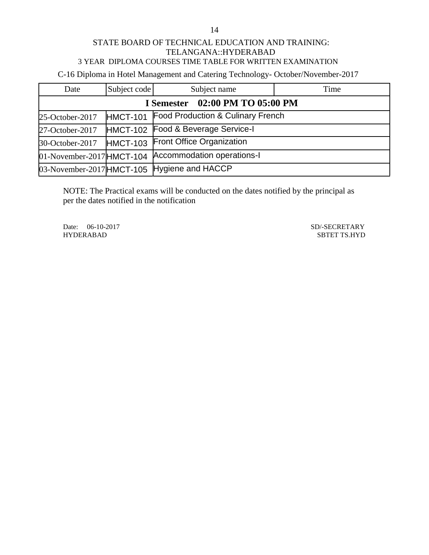C-16 Diploma in Hotel Management and Catering Technology- October/November-2017

| Date                               | Subject code    | Subject name                                | Time |  |
|------------------------------------|-----------------|---------------------------------------------|------|--|
| 02:00 PM TO 05:00 PM<br>I Semester |                 |                                             |      |  |
| 25-October-2017                    | <b>HMCT-101</b> | Food Production & Culinary French           |      |  |
| 27-October-2017                    |                 | HMCT-102 Food & Beverage Service-I          |      |  |
| 30-October-2017                    | <b>HMCT-103</b> | <b>Front Office Organization</b>            |      |  |
| $01$ -November-2017 HMCT-104       |                 | Accommodation operations-I                  |      |  |
|                                    |                 | 03-November-2017 HMCT-105 Hygiene and HACCP |      |  |

NOTE: The Practical exams will be conducted on the dates notified by the principal as per the dates notified in the notification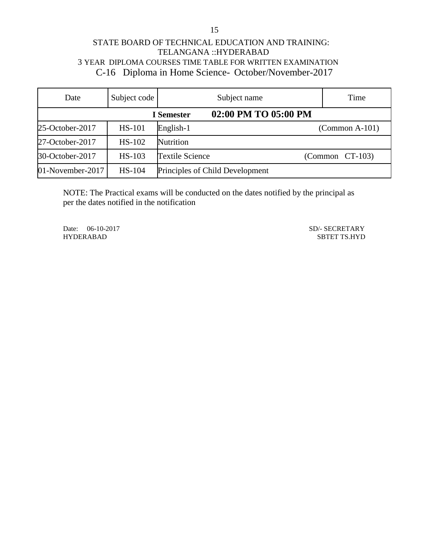## STATE BOARD OF TECHNICAL EDUCATION AND TRAINING: TELANGANA ::HYDERABAD 3 YEAR DIPLOMA COURSES TIME TABLE FOR WRITTEN EXAMINATION C-16 Diploma in Home Science- October/November-2017

| Date             | Subject code  | Subject name                    |                      | Time                     |
|------------------|---------------|---------------------------------|----------------------|--------------------------|
|                  |               | <b>I</b> Semester               | 02:00 PM TO 05:00 PM |                          |
| 25-October-2017  | <b>HS-101</b> | English-1                       |                      | $(Common A-101)$         |
| 27-October-2017  | HS-102        | Nutrition                       |                      |                          |
| 30-October-2017  | <b>HS-103</b> | <b>Textile Science</b>          |                      | $\Gamma$ (Common CT-103) |
| 01-November-2017 | <b>HS-104</b> | Principles of Child Development |                      |                          |

NOTE: The Practical exams will be conducted on the dates notified by the principal as per the dates notified in the notification

Date: 06-10-2017 SD/- SECRETARY

HYDERABAD SBTET TS.HYD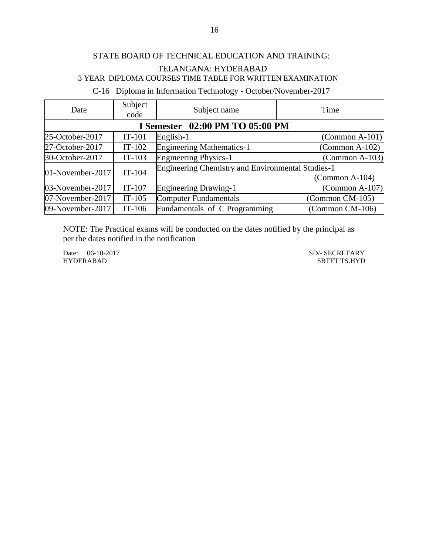C-16 Diploma in Information Technology - October/November-2017

| Date             | Subject<br>code | Subject name                                             | Time                     |
|------------------|-----------------|----------------------------------------------------------|--------------------------|
|                  |                 | I Semester 02:00 PM TO 05:00 PM                          |                          |
| 25-October-2017  | $IT-101$        | English-1                                                | $(Common A-101)$         |
| 27-October-2017  | $IT-102$        | <b>Engineering Mathematics-1</b>                         | $(Common A-102)$         |
| 30-October-2017  | $IT-103$        | <b>Engineering Physics-1</b>                             | $\Gamma$ (Common A-103)  |
| 01-November-2017 | $IT-104$        | <b>Engineering Chemistry and Environmental Studies-1</b> |                          |
|                  |                 |                                                          | $\Gamma$ (Common A-104)  |
| 03-November-2017 | $IT-107$        | <b>Engineering Drawing-1</b>                             | $\Gamma$ (Common A-107)  |
| 07-November-2017 | $IT-105$        | <b>Computer Fundamentals</b>                             | (Common CM-105)          |
| 09-November-2017 | $IT-106$        | Fundamentals of C Programming                            | $\Gamma$ (Common CM-106) |

NOTE: The Practical exams will be conducted on the dates notified by the principal as per the dates notified in the notification

HYDERABAD SBTET TS.HYD

Date: 06-10-2017 SD/- SECRETARY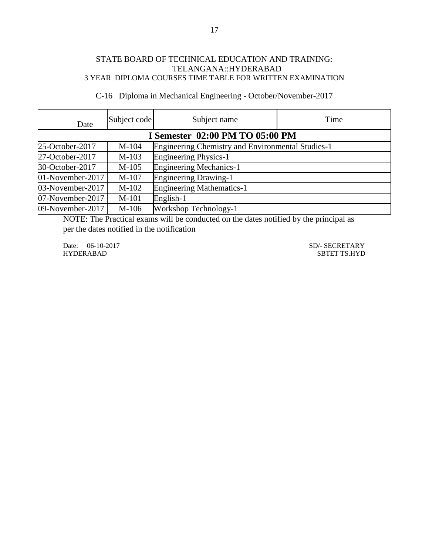C-16Diploma in Mechanical Engineering - October/November-2017

| Date             | Subject code                           | Subject name                                             | Time |  |  |
|------------------|----------------------------------------|----------------------------------------------------------|------|--|--|
|                  | <b>I Semester 02:00 PM TO 05:00 PM</b> |                                                          |      |  |  |
| 25-October-2017  | $M-104$                                | <b>Engineering Chemistry and Environmental Studies-1</b> |      |  |  |
| 27-October-2017  | $M-103$                                | <b>Engineering Physics-1</b>                             |      |  |  |
| 30-October-2017  | $M-105$                                | <b>Engineering Mechanics-1</b>                           |      |  |  |
| 01-November-2017 | M-107                                  | <b>Engineering Drawing-1</b>                             |      |  |  |
| 03-November-2017 | $M-102$                                | <b>Engineering Mathematics-1</b>                         |      |  |  |
| 07-November-2017 | M-101                                  | English-1                                                |      |  |  |
| 09-November-2017 | $M-106$                                | Workshop Technology-1                                    |      |  |  |

NOTE: The Practical exams will be conducted on the dates notified by the principal as per the dates notified in the notification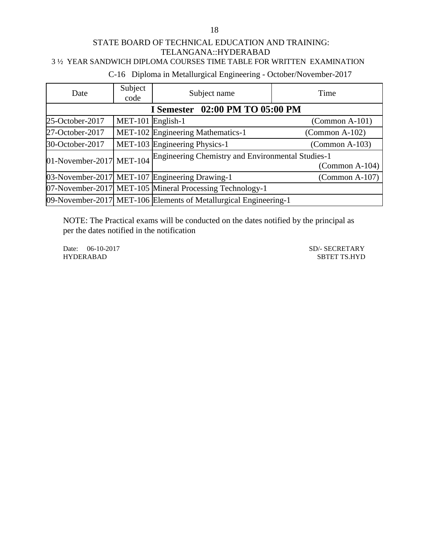## C-16 Diploma in Metallurgical Engineering - October/November-2017

| Date                            | Subject<br>code   | Subject name                                                     | Time                    |  |
|---------------------------------|-------------------|------------------------------------------------------------------|-------------------------|--|
| I Semester 02:00 PM TO 05:00 PM |                   |                                                                  |                         |  |
| 25-October-2017                 | MET-101 English-1 |                                                                  | $\Gamma$ (Common A-101) |  |
| 27-October-2017                 |                   | MET-102 Engineering Mathematics-1                                | $\Gamma$ (Common A-102) |  |
| 30-October-2017                 |                   | MET-103 Engineering Physics-1                                    | $\Gamma$ (Common A-103) |  |
| 01-November-2017 MET-104        |                   | Engineering Chemistry and Environmental Studies-1                |                         |  |
|                                 |                   |                                                                  | $\Gamma$ (Common A-104) |  |
|                                 |                   | 03-November-2017 MET-107 Engineering Drawing-1                   | $\Gamma$ (Common A-107) |  |
|                                 |                   | 07-November-2017 MET-105 Mineral Processing Technology-1         |                         |  |
|                                 |                   | 09-November-2017 MET-106 Elements of Metallurgical Engineering-1 |                         |  |

NOTE: The Practical exams will be conducted on the dates notified by the principal as per the dates notified in the notification

Date: 06-10-2017 SD/- SECRETARY<br>HYDERABAD SBTET TS.HYD SBTET TS.HYD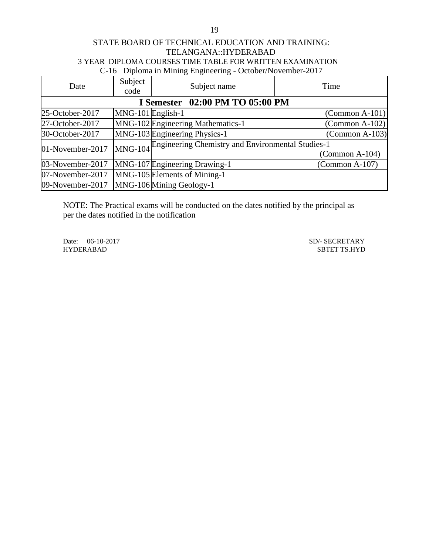## STATE BOARD OF TECHNICAL EDUCATION AND TRAINING: TELANGANA::HYDERABAD 3 YEAR DIPLOMA COURSES TIME TABLE FOR WRITTEN EXAMINATION C-16 Diploma in Mining Engineering - October/November-2017

| Date             | Subject<br>code                 | Subject name                                              | Time                    |  |  |
|------------------|---------------------------------|-----------------------------------------------------------|-------------------------|--|--|
|                  | I Semester 02:00 PM TO 05:00 PM |                                                           |                         |  |  |
| 25-October-2017  | MNG-101 English-1               |                                                           | $\text{(Common A-101)}$ |  |  |
| 27-October-2017  |                                 | MNG-102 Engineering Mathematics-1                         | $\text{(Common A-102)}$ |  |  |
| 30-October-2017  |                                 | MNG-103 Engineering Physics-1                             | $(Common A-103)$        |  |  |
| 01-November-2017 |                                 | MNG-104 Engineering Chemistry and Environmental Studies-1 |                         |  |  |
|                  |                                 |                                                           | $(Common A-104)$        |  |  |
| 03-November-2017 |                                 | MNG-107 Engineering Drawing-1                             | $\Gamma$ (Common A-107) |  |  |
| 07-November-2017 |                                 | MNG-105 Elements of Mining-1                              |                         |  |  |
| 09-November-2017 |                                 | MNG-106 Mining Geology-1                                  |                         |  |  |

NOTE: The Practical exams will be conducted on the dates notified by the principal as per the dates notified in the notification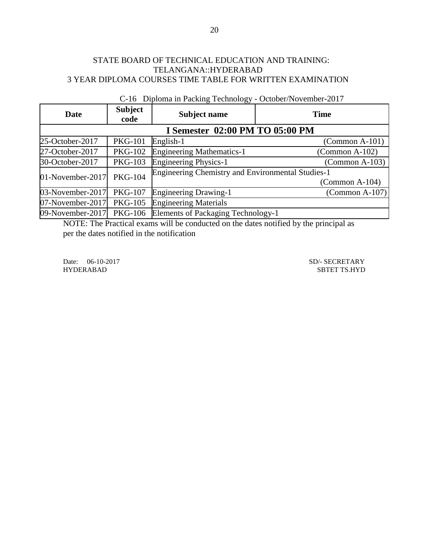| <b>Date</b>      | <b>Subject</b><br>code | Subject name                                             | <b>Time</b>             |
|------------------|------------------------|----------------------------------------------------------|-------------------------|
|                  |                        | I Semester 02:00 PM TO 05:00 PM                          |                         |
| 25-October-2017  | <b>PKG-101</b>         | English-1                                                | $(Common A-101)$        |
| 27-October-2017  | <b>PKG-102</b>         | <b>Engineering Mathematics-1</b>                         | $\Gamma$ (Common A-102) |
| 30-October-2017  | <b>PKG-103</b>         | <b>Engineering Physics-1</b>                             | $(Common A-103)$        |
| 01-November-2017 | <b>PKG-104</b>         | <b>Engineering Chemistry and Environmental Studies-1</b> | $\Gamma$ (Common A-104) |
| 03-November-2017 | <b>PKG-107</b>         | <b>Engineering Drawing-1</b>                             | $\text{(Common A-107)}$ |
| 07-November-2017 | <b>PKG-105</b>         | <b>Engineering Materials</b>                             |                         |
| 09-November-2017 | PKG-106                | Elements of Packaging Technology-1                       |                         |

C-16 Diploma in Packing Technology - October/November-2017

NOTE: The Practical exams will be conducted on the dates notified by the principal as per the dates notified in the notification

Date: 06-10-2017 SD/- SECRETARY SD<br>
SD/- SECRETARY SBTET TS.HYD